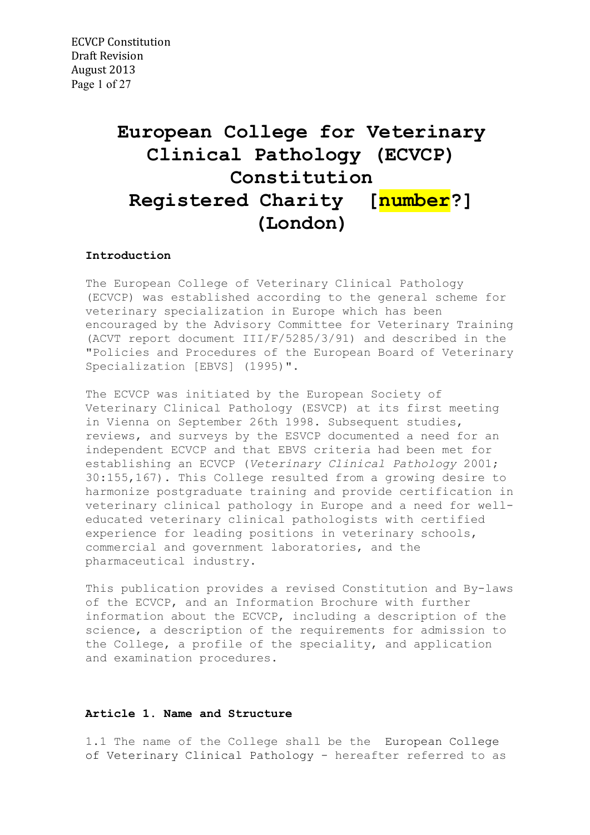# **European College for Veterinary Clinical Pathology (ECVCP) Constitution Registered Charity [number?] (London)**

## **Introduction**

The European College of Veterinary Clinical Pathology (ECVCP) was established according to the general scheme for veterinary specialization in Europe which has been encouraged by the Advisory Committee for Veterinary Training (ACVT report document III/F/5285/3/91) and described in the "Policies and Procedures of the European Board of Veterinary Specialization [EBVS] (1995)".

The ECVCP was initiated by the European Society of Veterinary Clinical Pathology (ESVCP) at its first meeting in Vienna on September 26th 1998. Subsequent studies, reviews, and surveys by the ESVCP documented a need for an independent ECVCP and that EBVS criteria had been met for establishing an ECVCP (*Veterinary Clinical Pathology* 2001; 30:155,167). This College resulted from a growing desire to harmonize postgraduate training and provide certification in veterinary clinical pathology in Europe and a need for welleducated veterinary clinical pathologists with certified experience for leading positions in veterinary schools, commercial and government laboratories, and the pharmaceutical industry.

This publication provides a revised Constitution and By-laws of the ECVCP, and an Information Brochure with further information about the ECVCP, including a description of the science, a description of the requirements for admission to the College, a profile of the speciality, and application and examination procedures.

## **Article 1. Name and Structure**

1.1 The name of the College shall be the European College of Veterinary Clinical Pathology - hereafter referred to as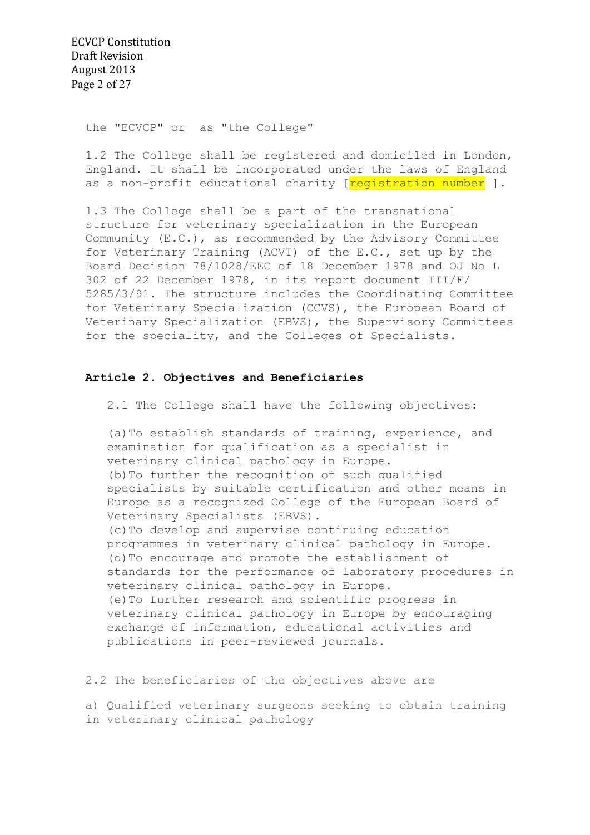ECVCP Constitution Draft Revision August 2013 Page 2 of 27

the "ECVCP" or as "the College"

1.2 The College shall be registered and domiciled in London, England. It shall be incorporated under the laws of England as a non-profit educational charity [reqistration number ].

1.3 The College shall be a part of the transnational structure for veterinary specialization in the European Community (E.C.), as recommended by the Advisory Committee for Veterinary Training (ACVT) of the E.C., set up by the Board Decision 78/1028/EEC of 18 December 1978 and OJ No L 302 of 22 December 1978, in its report document III/F/ 5285/3/91. The structure includes the Coordinating Committee for Veterinary Specialization (CCVS), the European Board of Veterinary Specialization (EBVS), the Supervisory Committees for the speciality, and the Colleges of Specialists.

## **Article 2. Objectives and Beneficiaries**

2.1 The College shall have the following objectives:

(a)To establish standards of training, experience, and examination for qualification as a specialist in veterinary clinical pathology in Europe. (b)To further the recognition of such qualified specialists by suitable certification and other means in Europe as a recognized College of the European Board of Veterinary Specialists (EBVS). (c)To develop and supervise continuing education programmes in veterinary clinical pathology in Europe. (d)To encourage and promote the establishment of standards for the performance of laboratory procedures in veterinary clinical pathology in Europe. (e)To further research and scientific progress in veterinary clinical pathology in Europe by encouraging exchange of information, educational activities and publications in peer-reviewed journals.

2.2 The beneficiaries of the objectives above are

a) Qualified veterinary surgeons seeking to obtain training in veterinary clinical pathology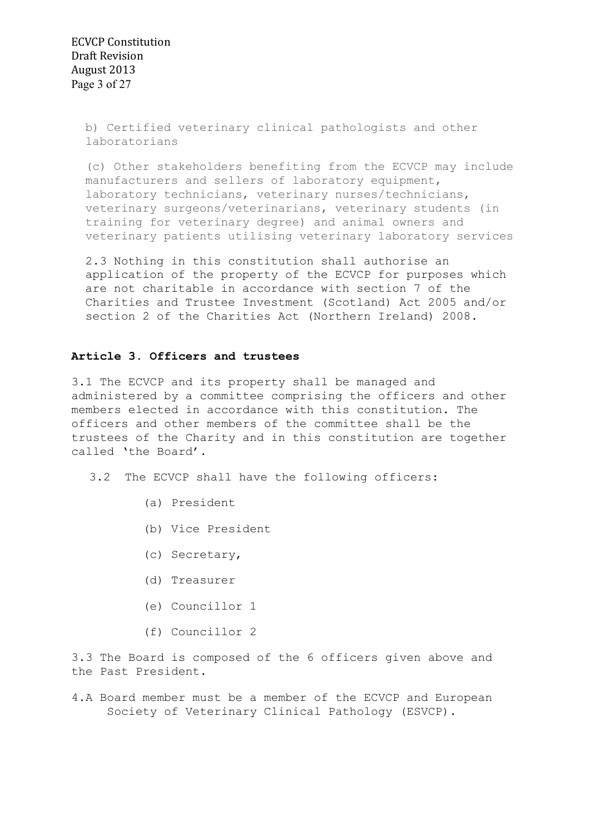ECVCP Constitution Draft Revision August 2013 Page 3 of 27

> b) Certified veterinary clinical pathologists and other laboratorians

(c) Other stakeholders benefiting from the ECVCP may include manufacturers and sellers of laboratory equipment, laboratory technicians, veterinary nurses/technicians, veterinary surgeons/veterinarians, veterinary students (in training for veterinary degree) and animal owners and veterinary patients utilising veterinary laboratory services

2.3 Nothing in this constitution shall authorise an application of the property of the ECVCP for purposes which are not charitable in accordance with section 7 of the Charities and Trustee Investment (Scotland) Act 2005 and/or section 2 of the Charities Act (Northern Ireland) 2008.

## **Article 3. Officers and trustees**

3.1 The ECVCP and its property shall be managed and administered by a committee comprising the officers and other members elected in accordance with this constitution. The officers and other members of the committee shall be the trustees of the Charity and in this constitution are together called 'the Board'.

- 3.2 The ECVCP shall have the following officers:
	- (a) President
	- (b) Vice President
	- (c) Secretary,
	- (d) Treasurer
	- (e) Councillor 1
	- (f) Councillor 2

3.3 The Board is composed of the 6 officers given above and the Past President.

4.A Board member must be a member of the ECVCP and European Society of Veterinary Clinical Pathology (ESVCP).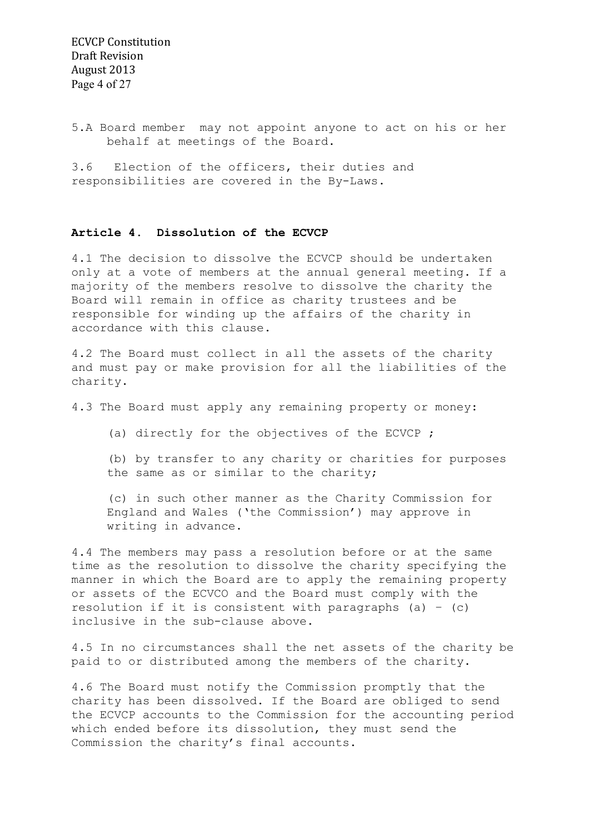5.A Board member may not appoint anyone to act on his or her behalf at meetings of the Board.

3.6 Election of the officers, their duties and responsibilities are covered in the By-Laws.

## **Article 4. Dissolution of the ECVCP**

4.1 The decision to dissolve the ECVCP should be undertaken only at a vote of members at the annual general meeting. If a majority of the members resolve to dissolve the charity the Board will remain in office as charity trustees and be responsible for winding up the affairs of the charity in accordance with this clause.

4.2 The Board must collect in all the assets of the charity and must pay or make provision for all the liabilities of the charity.

4.3 The Board must apply any remaining property or money:

(a) directly for the objectives of the ECVCP ;

(b) by transfer to any charity or charities for purposes the same as or similar to the charity;

(c) in such other manner as the Charity Commission for England and Wales ('the Commission') may approve in writing in advance.

4.4 The members may pass a resolution before or at the same time as the resolution to dissolve the charity specifying the manner in which the Board are to apply the remaining property or assets of the ECVCO and the Board must comply with the resolution if it is consistent with paragraphs (a) - (c) inclusive in the sub-clause above.

4.5 In no circumstances shall the net assets of the charity be paid to or distributed among the members of the charity.

4.6 The Board must notify the Commission promptly that the charity has been dissolved. If the Board are obliged to send the ECVCP accounts to the Commission for the accounting period which ended before its dissolution, they must send the Commission the charity's final accounts.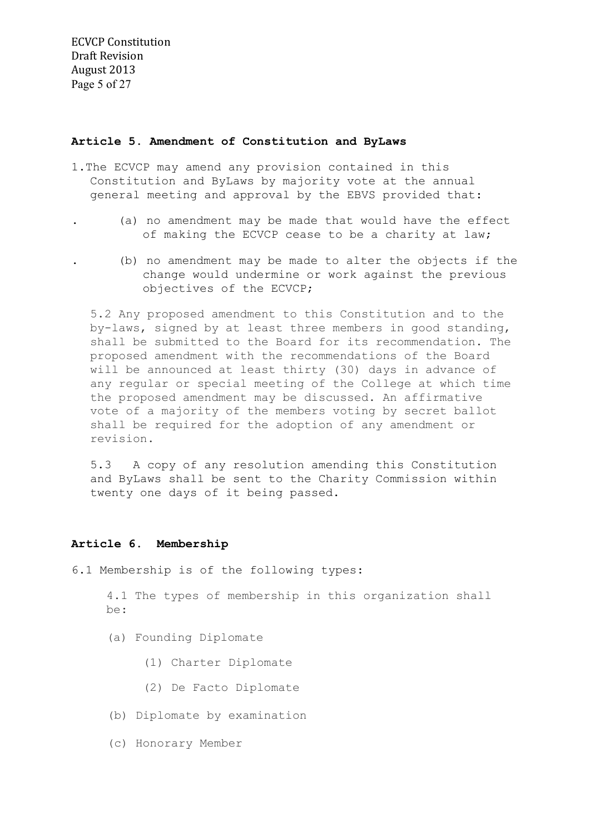## **Article 5. Amendment of Constitution and ByLaws**

- 1.The ECVCP may amend any provision contained in this Constitution and ByLaws by majority vote at the annual general meeting and approval by the EBVS provided that:
	- . (a) no amendment may be made that would have the effect of making the ECVCP cease to be a charity at law;
	- . (b) no amendment may be made to alter the objects if the change would undermine or work against the previous objectives of the ECVCP;

5.2 Any proposed amendment to this Constitution and to the by-laws, signed by at least three members in good standing, shall be submitted to the Board for its recommendation. The proposed amendment with the recommendations of the Board will be announced at least thirty (30) days in advance of any regular or special meeting of the College at which time the proposed amendment may be discussed. An affirmative vote of a majority of the members voting by secret ballot shall be required for the adoption of any amendment or revision.

5.3 A copy of any resolution amending this Constitution and ByLaws shall be sent to the Charity Commission within twenty one days of it being passed.

## **Article 6. Membership**

6.1 Membership is of the following types:

4.1 The types of membership in this organization shall be:

- (a) Founding Diplomate
	- (1) Charter Diplomate
	- (2) De Facto Diplomate
- (b) Diplomate by examination
- (c) Honorary Member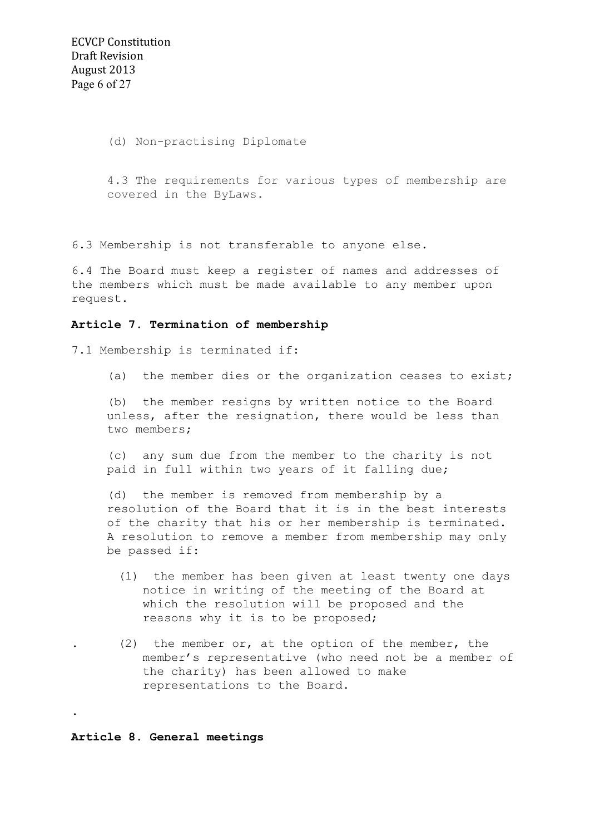(d) Non-practising Diplomate

4.3 The requirements for various types of membership are covered in the ByLaws.

6.3 Membership is not transferable to anyone else.

6.4 The Board must keep a register of names and addresses of the members which must be made available to any member upon request.

## **Article 7. Termination of membership**

7.1 Membership is terminated if:

(a) the member dies or the organization ceases to exist;

(b) the member resigns by written notice to the Board unless, after the resignation, there would be less than two members;

(c) any sum due from the member to the charity is not paid in full within two years of it falling due;

(d) the member is removed from membership by a resolution of the Board that it is in the best interests of the charity that his or her membership is terminated. A resolution to remove a member from membership may only be passed if:

- (1) the member has been given at least twenty one days notice in writing of the meeting of the Board at which the resolution will be proposed and the reasons why it is to be proposed;
- $(2)$  the member or, at the option of the member, the member's representative (who need not be a member of the charity) has been allowed to make representations to the Board.

#### **Article 8. General meetings**

.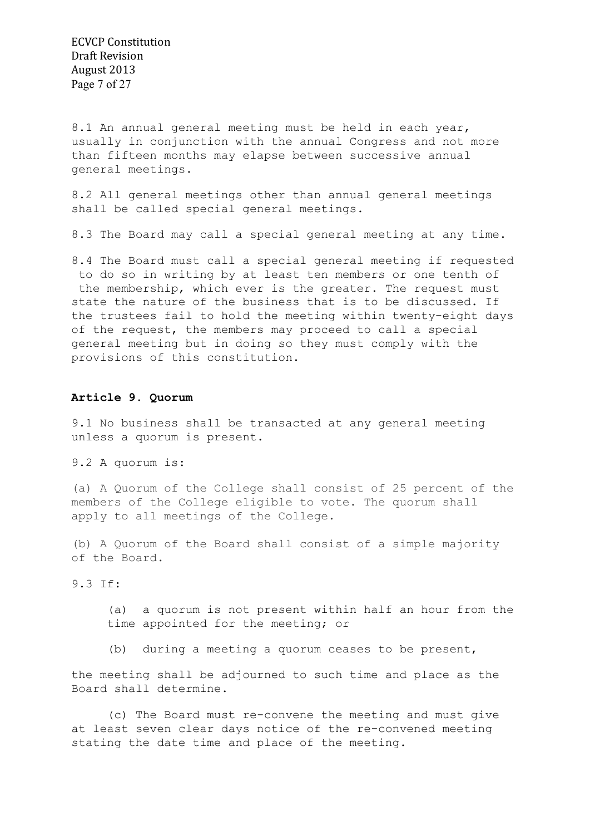ECVCP Constitution Draft Revision August 2013 Page 7 of 27

8.1 An annual general meeting must be held in each year, usually in conjunction with the annual Congress and not more than fifteen months may elapse between successive annual general meetings.

8.2 All general meetings other than annual general meetings shall be called special general meetings.

8.3 The Board may call a special general meeting at any time.

8.4 The Board must call a special general meeting if requested to do so in writing by at least ten members or one tenth of the membership, which ever is the greater. The request must state the nature of the business that is to be discussed. If the trustees fail to hold the meeting within twenty-eight days of the request, the members may proceed to call a special general meeting but in doing so they must comply with the provisions of this constitution.

## **Article 9. Quorum**

9.1 No business shall be transacted at any general meeting unless a quorum is present.

9.2 A quorum is:

(a) A Quorum of the College shall consist of 25 percent of the members of the College eligible to vote. The quorum shall apply to all meetings of the College.

(b) A Quorum of the Board shall consist of a simple majority of the Board.

9.3 If:

(a) a quorum is not present within half an hour from the time appointed for the meeting; or

(b) during a meeting a quorum ceases to be present,

the meeting shall be adjourned to such time and place as the Board shall determine.

 (c) The Board must re-convene the meeting and must give at least seven clear days notice of the re-convened meeting stating the date time and place of the meeting.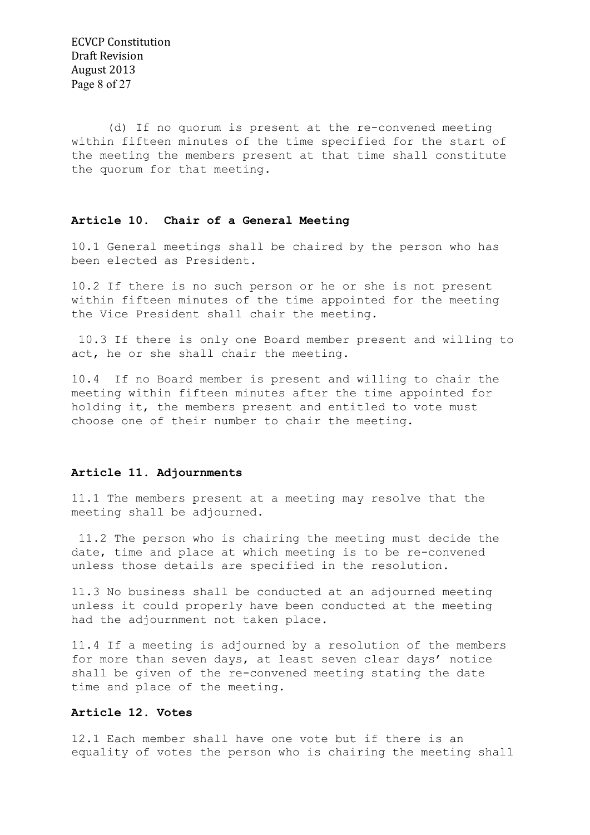ECVCP Constitution Draft Revision August 2013 Page 8 of 27

 (d) If no quorum is present at the re-convened meeting within fifteen minutes of the time specified for the start of the meeting the members present at that time shall constitute the quorum for that meeting.

## **Article 10. Chair of a General Meeting**

10.1 General meetings shall be chaired by the person who has been elected as President.

10.2 If there is no such person or he or she is not present within fifteen minutes of the time appointed for the meeting the Vice President shall chair the meeting.

 10.3 If there is only one Board member present and willing to act, he or she shall chair the meeting.

10.4 If no Board member is present and willing to chair the meeting within fifteen minutes after the time appointed for holding it, the members present and entitled to vote must choose one of their number to chair the meeting.

## **Article 11. Adjournments**

11.1 The members present at a meeting may resolve that the meeting shall be adjourned.

 11.2 The person who is chairing the meeting must decide the date, time and place at which meeting is to be re-convened unless those details are specified in the resolution.

11.3 No business shall be conducted at an adjourned meeting unless it could properly have been conducted at the meeting had the adjournment not taken place.

11.4 If a meeting is adjourned by a resolution of the members for more than seven days, at least seven clear days' notice shall be given of the re-convened meeting stating the date time and place of the meeting.

## **Article 12. Votes**

12.1 Each member shall have one vote but if there is an equality of votes the person who is chairing the meeting shall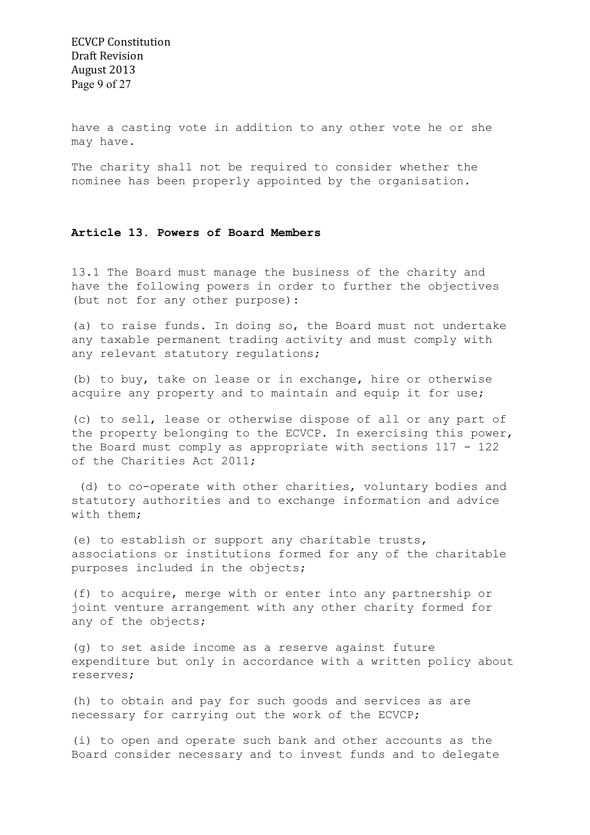have a casting vote in addition to any other vote he or she may have.

The charity shall not be required to consider whether the nominee has been properly appointed by the organisation.

## **Article 13. Powers of Board Members**

13.1 The Board must manage the business of the charity and have the following powers in order to further the objectives (but not for any other purpose):

(a) to raise funds. In doing so, the Board must not undertake any taxable permanent trading activity and must comply with any relevant statutory regulations;

(b) to buy, take on lease or in exchange, hire or otherwise acquire any property and to maintain and equip it for use;

(c) to sell, lease or otherwise dispose of all or any part of the property belonging to the ECVCP. In exercising this power, the Board must comply as appropriate with sections 117 - 122 of the Charities Act 2011;

 (d) to co-operate with other charities, voluntary bodies and statutory authorities and to exchange information and advice with them;

(e) to establish or support any charitable trusts, associations or institutions formed for any of the charitable purposes included in the objects;

(f) to acquire, merge with or enter into any partnership or joint venture arrangement with any other charity formed for any of the objects;

(g) to set aside income as a reserve against future expenditure but only in accordance with a written policy about reserves;

(h) to obtain and pay for such goods and services as are necessary for carrying out the work of the ECVCP;

(i) to open and operate such bank and other accounts as the Board consider necessary and to invest funds and to delegate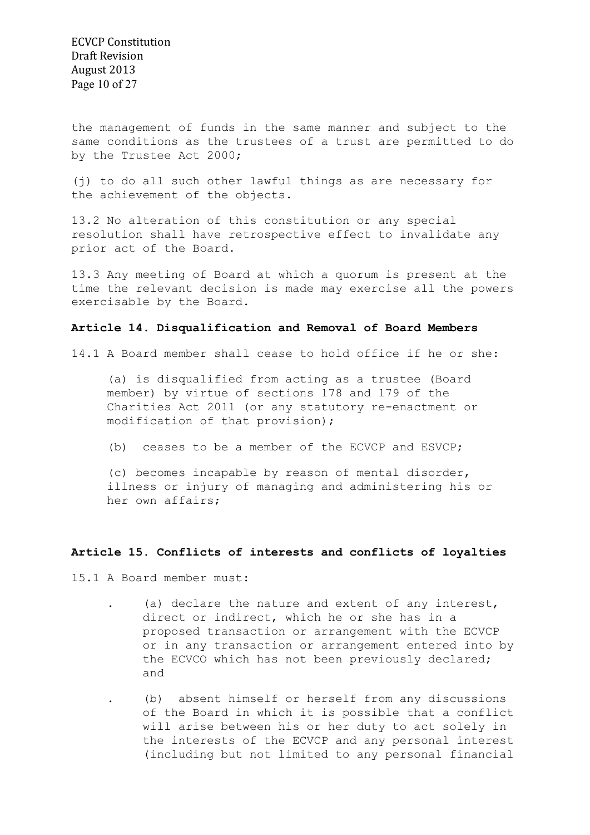ECVCP Constitution Draft Revision August 2013 Page 10 of 27

the management of funds in the same manner and subject to the same conditions as the trustees of a trust are permitted to do by the Trustee Act 2000;

(j) to do all such other lawful things as are necessary for the achievement of the objects.

13.2 No alteration of this constitution or any special resolution shall have retrospective effect to invalidate any prior act of the Board.

13.3 Any meeting of Board at which a quorum is present at the time the relevant decision is made may exercise all the powers exercisable by the Board.

#### **Article 14. Disqualification and Removal of Board Members**

14.1 A Board member shall cease to hold office if he or she:

(a) is disqualified from acting as a trustee (Board member) by virtue of sections 178 and 179 of the Charities Act 2011 (or any statutory re-enactment or modification of that provision);

(b) ceases to be a member of the ECVCP and ESVCP;

(c) becomes incapable by reason of mental disorder, illness or injury of managing and administering his or her own affairs;

#### **Article 15. Conflicts of interests and conflicts of loyalties**

15.1 A Board member must:

. (a) declare the nature and extent of any interest, direct or indirect, which he or she has in a proposed transaction or arrangement with the ECVCP or in any transaction or arrangement entered into by the ECVCO which has not been previously declared; and

. (b) absent himself or herself from any discussions of the Board in which it is possible that a conflict will arise between his or her duty to act solely in the interests of the ECVCP and any personal interest (including but not limited to any personal financial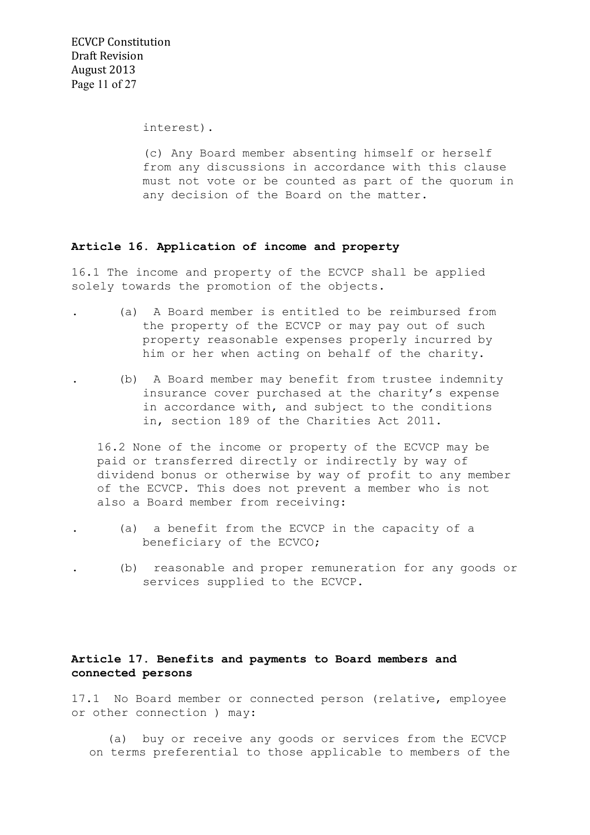ECVCP Constitution Draft Revision August 2013 Page 11 of 27

interest).

(c) Any Board member absenting himself or herself from any discussions in accordance with this clause must not vote or be counted as part of the quorum in any decision of the Board on the matter.

## **Article 16. Application of income and property**

16.1 The income and property of the ECVCP shall be applied solely towards the promotion of the objects.

- . (a) A Board member is entitled to be reimbursed from the property of the ECVCP or may pay out of such property reasonable expenses properly incurred by him or her when acting on behalf of the charity.
- . (b) A Board member may benefit from trustee indemnity insurance cover purchased at the charity's expense in accordance with, and subject to the conditions in, section 189 of the Charities Act 2011.

16.2 None of the income or property of the ECVCP may be paid or transferred directly or indirectly by way of dividend bonus or otherwise by way of profit to any member of the ECVCP. This does not prevent a member who is not also a Board member from receiving:

- . (a) a benefit from the ECVCP in the capacity of a beneficiary of the ECVCO;
	- . (b) reasonable and proper remuneration for any goods or services supplied to the ECVCP.

## **Article 17. Benefits and payments to Board members and connected persons**

17.1 No Board member or connected person (relative, employee or other connection ) may:

 (a) buy or receive any goods or services from the ECVCP on terms preferential to those applicable to members of the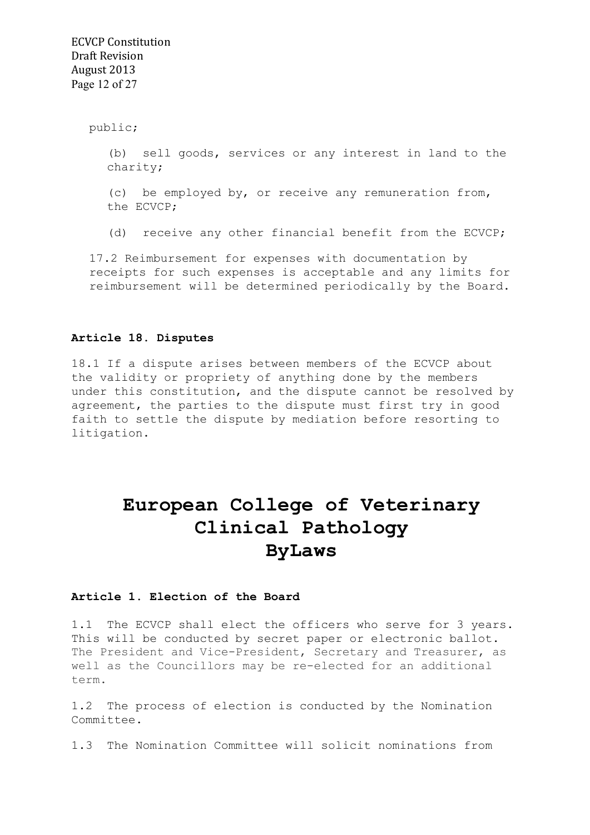public;

(b) sell goods, services or any interest in land to the charity;

(c) be employed by, or receive any remuneration from, the ECVCP;

(d) receive any other financial benefit from the ECVCP;

17.2 Reimbursement for expenses with documentation by receipts for such expenses is acceptable and any limits for reimbursement will be determined periodically by the Board.

#### **Article 18. Disputes**

18.1 If a dispute arises between members of the ECVCP about the validity or propriety of anything done by the members under this constitution, and the dispute cannot be resolved by agreement, the parties to the dispute must first try in good faith to settle the dispute by mediation before resorting to litigation.

## **European College of Veterinary Clinical Pathology ByLaws**

## **Article 1. Election of the Board**

1.1 The ECVCP shall elect the officers who serve for 3 years. This will be conducted by secret paper or electronic ballot. The President and Vice-President, Secretary and Treasurer, as well as the Councillors may be re-elected for an additional term.

1.2 The process of election is conducted by the Nomination Committee.

1.3 The Nomination Committee will solicit nominations from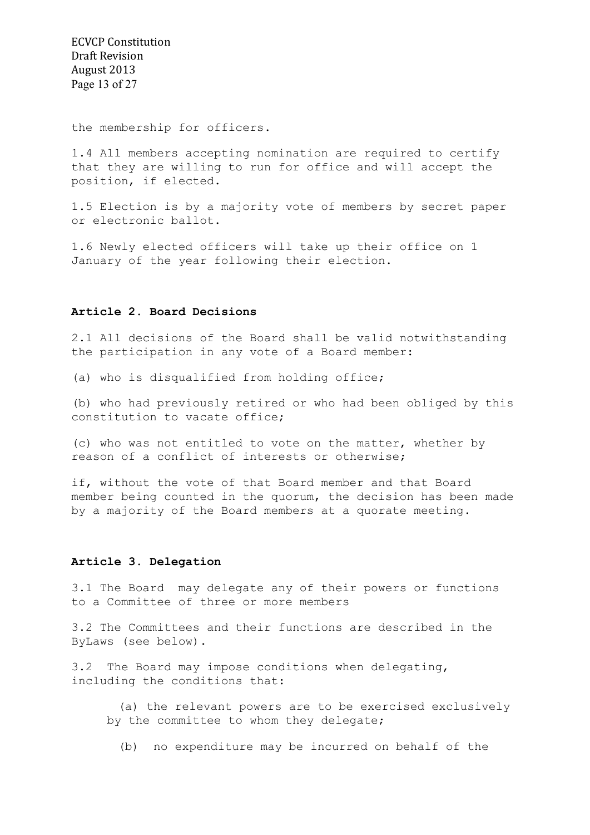ECVCP Constitution Draft Revision August 2013 Page 13 of 27

the membership for officers.

1.4 All members accepting nomination are required to certify that they are willing to run for office and will accept the position, if elected.

1.5 Election is by a majority vote of members by secret paper or electronic ballot.

1.6 Newly elected officers will take up their office on 1 January of the year following their election.

### **Article 2. Board Decisions**

2.1 All decisions of the Board shall be valid notwithstanding the participation in any vote of a Board member:

(a) who is disqualified from holding office;

(b) who had previously retired or who had been obliged by this constitution to vacate office;

(c) who was not entitled to vote on the matter, whether by reason of a conflict of interests or otherwise;

if, without the vote of that Board member and that Board member being counted in the quorum, the decision has been made by a majority of the Board members at a quorate meeting.

#### **Article 3. Delegation**

3.1 The Board may delegate any of their powers or functions to a Committee of three or more members

3.2 The Committees and their functions are described in the ByLaws (see below).

3.2 The Board may impose conditions when delegating, including the conditions that:

 (a) the relevant powers are to be exercised exclusively by the committee to whom they delegate;

(b) no expenditure may be incurred on behalf of the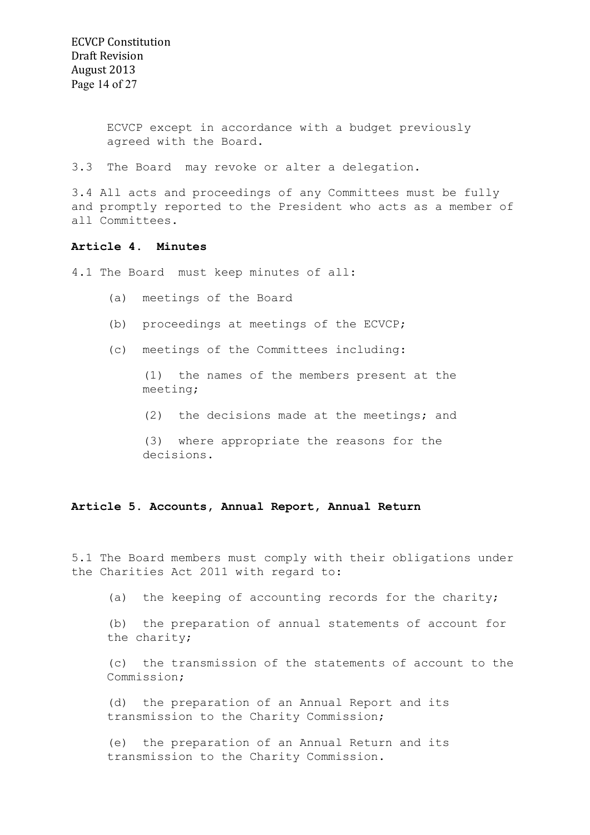ECVCP except in accordance with a budget previously agreed with the Board.

3.3 The Board may revoke or alter a delegation.

3.4 All acts and proceedings of any Committees must be fully and promptly reported to the President who acts as a member of all Committees.

## **Article 4. Minutes**

4.1 The Board must keep minutes of all:

- (a) meetings of the Board
- (b) proceedings at meetings of the ECVCP;
- (c) meetings of the Committees including:

(1) the names of the members present at the meeting;

(2) the decisions made at the meetings; and

(3) where appropriate the reasons for the decisions.

#### **Article 5. Accounts, Annual Report, Annual Return**

5.1 The Board members must comply with their obligations under the Charities Act 2011 with regard to:

(a) the keeping of accounting records for the charity;

(b) the preparation of annual statements of account for the charity;

(c) the transmission of the statements of account to the Commission;

(d) the preparation of an Annual Report and its transmission to the Charity Commission;

(e) the preparation of an Annual Return and its transmission to the Charity Commission.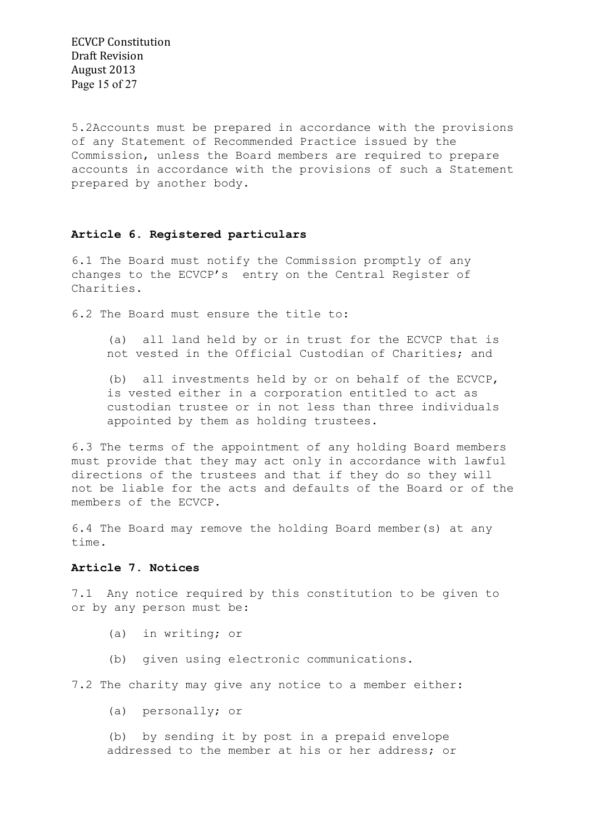ECVCP Constitution Draft Revision August 2013 Page 15 of 27

5.2Accounts must be prepared in accordance with the provisions of any Statement of Recommended Practice issued by the Commission, unless the Board members are required to prepare accounts in accordance with the provisions of such a Statement prepared by another body.

## **Article 6. Registered particulars**

6.1 The Board must notify the Commission promptly of any changes to the ECVCP's entry on the Central Register of Charities.

6.2 The Board must ensure the title to:

(a) all land held by or in trust for the ECVCP that is not vested in the Official Custodian of Charities; and

(b) all investments held by or on behalf of the ECVCP, is vested either in a corporation entitled to act as custodian trustee or in not less than three individuals appointed by them as holding trustees.

6.3 The terms of the appointment of any holding Board members must provide that they may act only in accordance with lawful directions of the trustees and that if they do so they will not be liable for the acts and defaults of the Board or of the members of the ECVCP.

6.4 The Board may remove the holding Board member(s) at any time.

## **Article 7. Notices**

7.1 Any notice required by this constitution to be given to or by any person must be:

- (a) in writing; or
- (b) given using electronic communications.

7.2 The charity may give any notice to a member either:

(a) personally; or

(b) by sending it by post in a prepaid envelope addressed to the member at his or her address; or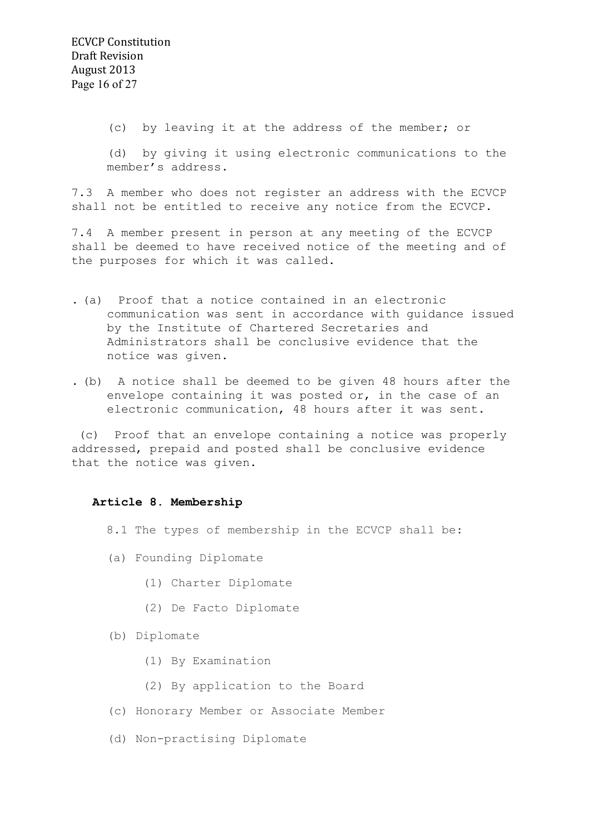(c) by leaving it at the address of the member; or

(d) by giving it using electronic communications to the member's address.

7.3 A member who does not register an address with the ECVCP shall not be entitled to receive any notice from the ECVCP.

7.4 A member present in person at any meeting of the ECVCP shall be deemed to have received notice of the meeting and of the purposes for which it was called.

- . (a) Proof that a notice contained in an electronic communication was sent in accordance with guidance issued by the Institute of Chartered Secretaries and Administrators shall be conclusive evidence that the notice was given.
- . (b) A notice shall be deemed to be given 48 hours after the envelope containing it was posted or, in the case of an electronic communication, 48 hours after it was sent.

 (c) Proof that an envelope containing a notice was properly addressed, prepaid and posted shall be conclusive evidence that the notice was given.

## **Article 8. Membership**

- 8.1 The types of membership in the ECVCP shall be:
- (a) Founding Diplomate
	- (1) Charter Diplomate
	- (2) De Facto Diplomate
- (b) Diplomate
	- (1) By Examination
	- (2) By application to the Board
- (c) Honorary Member or Associate Member
- (d) Non-practising Diplomate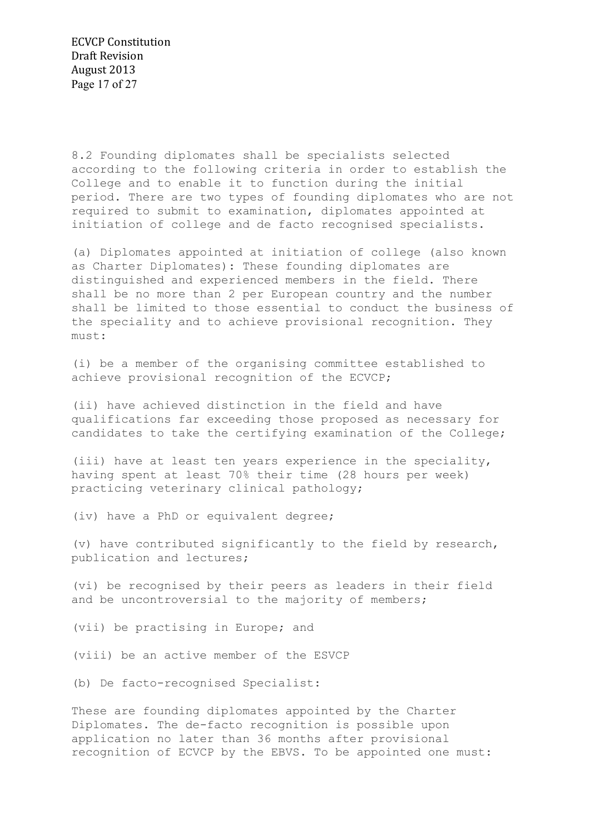8.2 Founding diplomates shall be specialists selected according to the following criteria in order to establish the College and to enable it to function during the initial period. There are two types of founding diplomates who are not required to submit to examination, diplomates appointed at initiation of college and de facto recognised specialists.

(a) Diplomates appointed at initiation of college (also known as Charter Diplomates): These founding diplomates are distinguished and experienced members in the field. There shall be no more than 2 per European country and the number shall be limited to those essential to conduct the business of the speciality and to achieve provisional recognition. They must:

(i) be a member of the organising committee established to achieve provisional recognition of the ECVCP;

(ii) have achieved distinction in the field and have qualifications far exceeding those proposed as necessary for candidates to take the certifying examination of the College;

(iii) have at least ten years experience in the speciality, having spent at least 70% their time (28 hours per week) practicing veterinary clinical pathology;

(iv) have a PhD or equivalent degree;

(v) have contributed significantly to the field by research, publication and lectures;

(vi) be recognised by their peers as leaders in their field and be uncontroversial to the majority of members;

(vii) be practising in Europe; and

(viii) be an active member of the ESVCP

(b) De facto-recognised Specialist:

These are founding diplomates appointed by the Charter Diplomates. The de-facto recognition is possible upon application no later than 36 months after provisional recognition of ECVCP by the EBVS. To be appointed one must: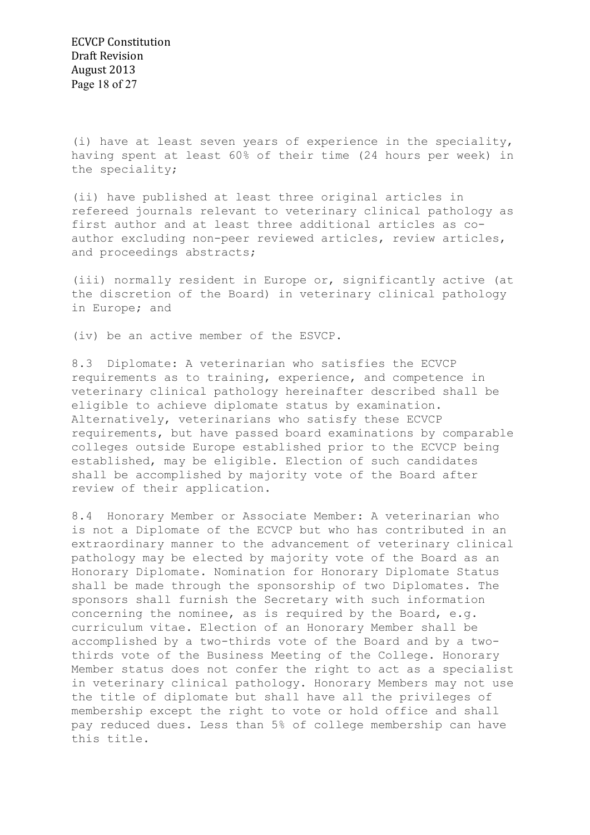(i) have at least seven years of experience in the speciality, having spent at least 60% of their time (24 hours per week) in the speciality;

(ii) have published at least three original articles in refereed journals relevant to veterinary clinical pathology as first author and at least three additional articles as coauthor excluding non-peer reviewed articles, review articles, and proceedings abstracts;

(iii) normally resident in Europe or, significantly active (at the discretion of the Board) in veterinary clinical pathology in Europe; and

(iv) be an active member of the ESVCP.

8.3 Diplomate: A veterinarian who satisfies the ECVCP requirements as to training, experience, and competence in veterinary clinical pathology hereinafter described shall be eligible to achieve diplomate status by examination. Alternatively, veterinarians who satisfy these ECVCP requirements, but have passed board examinations by comparable colleges outside Europe established prior to the ECVCP being established, may be eligible. Election of such candidates shall be accomplished by majority vote of the Board after review of their application.

8.4 Honorary Member or Associate Member: A veterinarian who is not a Diplomate of the ECVCP but who has contributed in an extraordinary manner to the advancement of veterinary clinical pathology may be elected by majority vote of the Board as an Honorary Diplomate. Nomination for Honorary Diplomate Status shall be made through the sponsorship of two Diplomates. The sponsors shall furnish the Secretary with such information concerning the nominee, as is required by the Board, e.g. curriculum vitae. Election of an Honorary Member shall be accomplished by a two-thirds vote of the Board and by a twothirds vote of the Business Meeting of the College. Honorary Member status does not confer the right to act as a specialist in veterinary clinical pathology. Honorary Members may not use the title of diplomate but shall have all the privileges of membership except the right to vote or hold office and shall pay reduced dues. Less than 5% of college membership can have this title.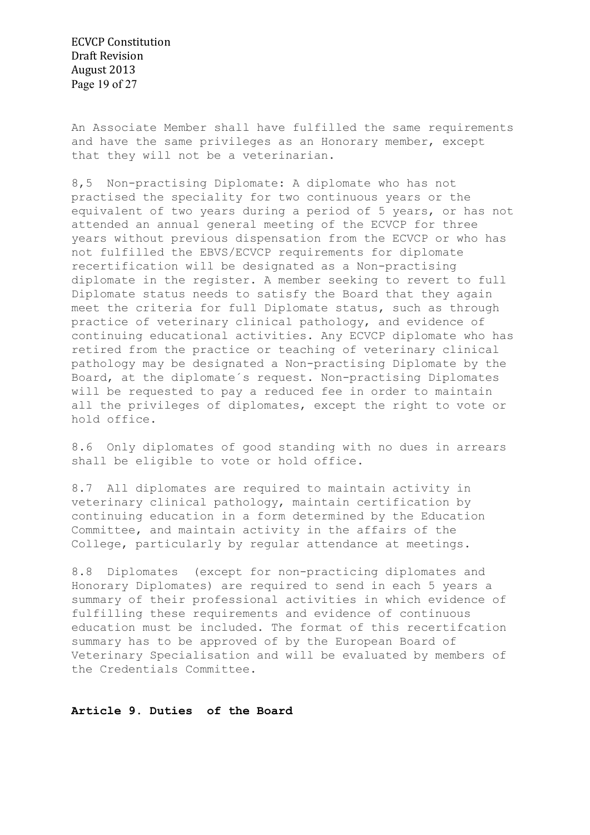ECVCP Constitution Draft Revision August 2013 Page 19 of 27

An Associate Member shall have fulfilled the same requirements and have the same privileges as an Honorary member, except that they will not be a veterinarian.

8,5 Non-practising Diplomate: A diplomate who has not practised the speciality for two continuous years or the equivalent of two years during a period of 5 years, or has not attended an annual general meeting of the ECVCP for three years without previous dispensation from the ECVCP or who has not fulfilled the EBVS/ECVCP requirements for diplomate recertification will be designated as a Non-practising diplomate in the register. A member seeking to revert to full Diplomate status needs to satisfy the Board that they again meet the criteria for full Diplomate status, such as through practice of veterinary clinical pathology, and evidence of continuing educational activities. Any ECVCP diplomate who has retired from the practice or teaching of veterinary clinical pathology may be designated a Non-practising Diplomate by the Board, at the diplomate´s request. Non-practising Diplomates will be requested to pay a reduced fee in order to maintain all the privileges of diplomates, except the right to vote or hold office.

8.6 Only diplomates of good standing with no dues in arrears shall be eligible to vote or hold office.

8.7 All diplomates are required to maintain activity in veterinary clinical pathology, maintain certification by continuing education in a form determined by the Education Committee, and maintain activity in the affairs of the College, particularly by regular attendance at meetings.

8.8 Diplomates (except for non-practicing diplomates and Honorary Diplomates) are required to send in each 5 years a summary of their professional activities in which evidence of fulfilling these requirements and evidence of continuous education must be included. The format of this recertifcation summary has to be approved of by the European Board of Veterinary Specialisation and will be evaluated by members of the Credentials Committee.

**Article 9. Duties of the Board**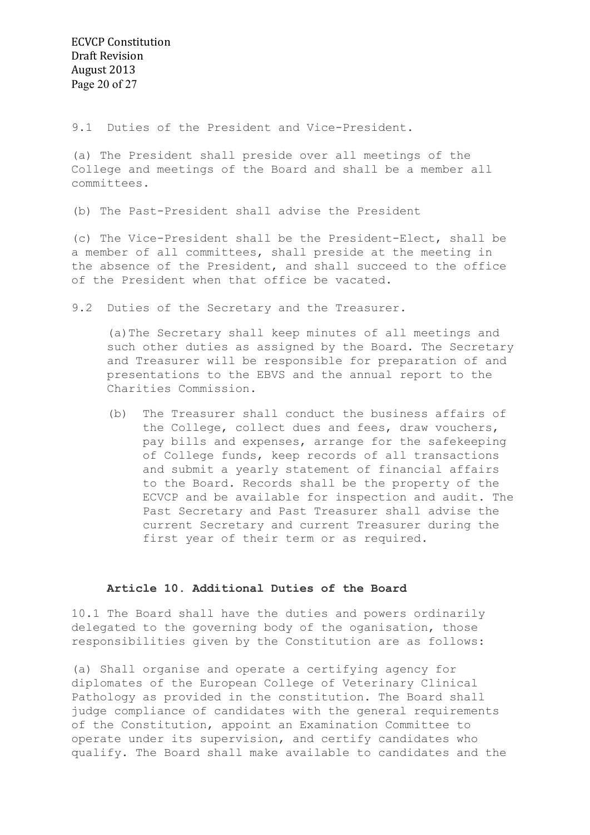9.1 Duties of the President and Vice-President.

(a) The President shall preside over all meetings of the College and meetings of the Board and shall be a member all committees.

(b) The Past-President shall advise the President

(c) The Vice-President shall be the President-Elect, shall be a member of all committees, shall preside at the meeting in the absence of the President, and shall succeed to the office of the President when that office be vacated.

9.2 Duties of the Secretary and the Treasurer.

(a)The Secretary shall keep minutes of all meetings and such other duties as assigned by the Board. The Secretary and Treasurer will be responsible for preparation of and presentations to the EBVS and the annual report to the Charities Commission.

(b) The Treasurer shall conduct the business affairs of the College, collect dues and fees, draw vouchers, pay bills and expenses, arrange for the safekeeping of College funds, keep records of all transactions and submit a yearly statement of financial affairs to the Board. Records shall be the property of the ECVCP and be available for inspection and audit. The Past Secretary and Past Treasurer shall advise the current Secretary and current Treasurer during the first year of their term or as required.

## **Article 10. Additional Duties of the Board**

10.1 The Board shall have the duties and powers ordinarily delegated to the governing body of the oganisation, those responsibilities given by the Constitution are as follows:

(a) Shall organise and operate a certifying agency for diplomates of the European College of Veterinary Clinical Pathology as provided in the constitution. The Board shall judge compliance of candidates with the general requirements of the Constitution, appoint an Examination Committee to operate under its supervision, and certify candidates who qualify. The Board shall make available to candidates and the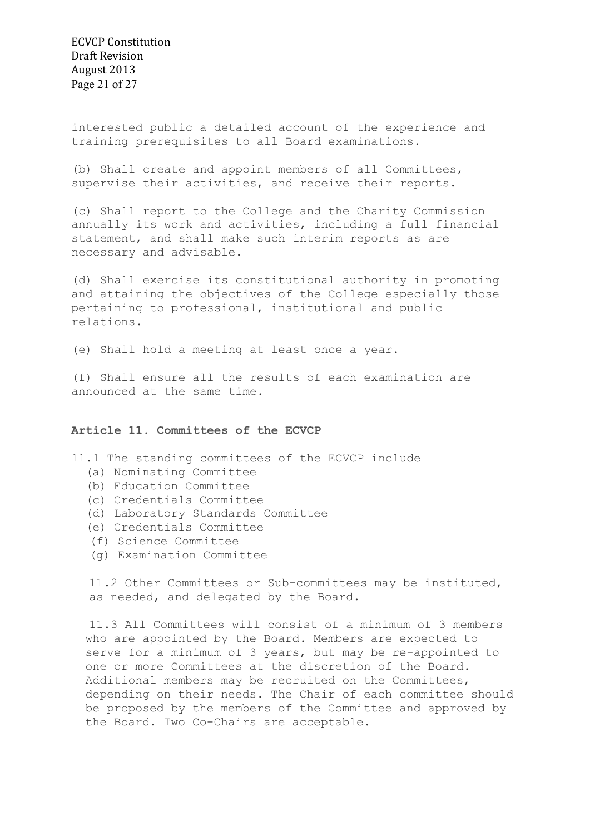ECVCP Constitution Draft Revision August 2013 Page 21 of 27

interested public a detailed account of the experience and training prerequisites to all Board examinations.

(b) Shall create and appoint members of all Committees, supervise their activities, and receive their reports.

(c) Shall report to the College and the Charity Commission annually its work and activities, including a full financial statement, and shall make such interim reports as are necessary and advisable.

(d) Shall exercise its constitutional authority in promoting and attaining the objectives of the College especially those pertaining to professional, institutional and public relations.

(e) Shall hold a meeting at least once a year.

(f) Shall ensure all the results of each examination are announced at the same time.

## **Article 11. Committees of the ECVCP**

- 11.1 The standing committees of the ECVCP include
	- (a) Nominating Committee
	- (b) Education Committee
	- (c) Credentials Committee
	- (d) Laboratory Standards Committee
	- (e) Credentials Committee
	- (f) Science Committee
	- (g) Examination Committee

11.2 Other Committees or Sub-committees may be instituted, as needed, and delegated by the Board.

11.3 All Committees will consist of a minimum of 3 members who are appointed by the Board. Members are expected to serve for a minimum of 3 years, but may be re-appointed to one or more Committees at the discretion of the Board. Additional members may be recruited on the Committees, depending on their needs. The Chair of each committee should be proposed by the members of the Committee and approved by the Board. Two Co-Chairs are acceptable.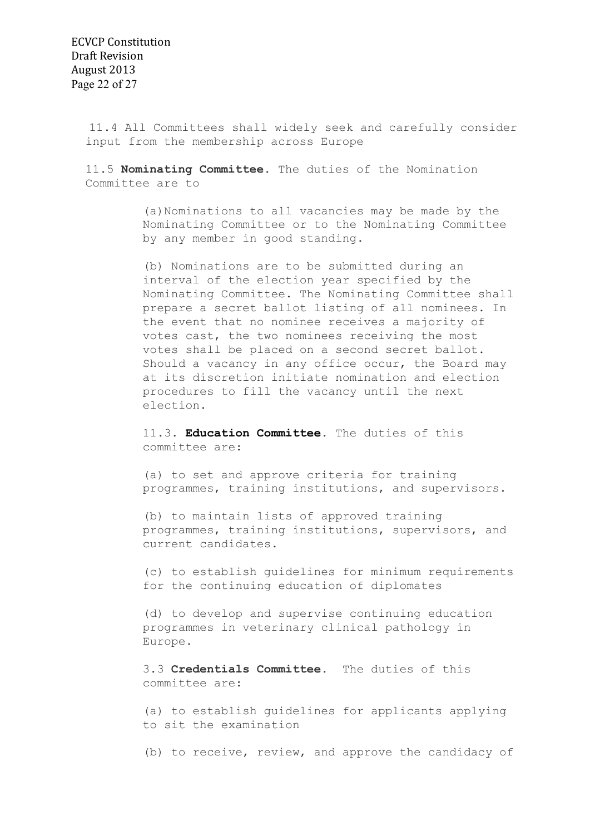11.4 All Committees shall widely seek and carefully consider input from the membership across Europe

11.5 **Nominating Committee**. The duties of the Nomination Committee are to

> (a)Nominations to all vacancies may be made by the Nominating Committee or to the Nominating Committee by any member in good standing.

(b) Nominations are to be submitted during an interval of the election year specified by the Nominating Committee. The Nominating Committee shall prepare a secret ballot listing of all nominees. In the event that no nominee receives a majority of votes cast, the two nominees receiving the most votes shall be placed on a second secret ballot. Should a vacancy in any office occur, the Board may at its discretion initiate nomination and election procedures to fill the vacancy until the next election.

11.3. **Education Committee**. The duties of this committee are:

(a) to set and approve criteria for training programmes, training institutions, and supervisors.

(b) to maintain lists of approved training programmes, training institutions, supervisors, and current candidates.

(c) to establish guidelines for minimum requirements for the continuing education of diplomates

(d) to develop and supervise continuing education programmes in veterinary clinical pathology in Europe.

3.3 **Credentials Committee**. The duties of this committee are:

(a) to establish guidelines for applicants applying to sit the examination

(b) to receive, review, and approve the candidacy of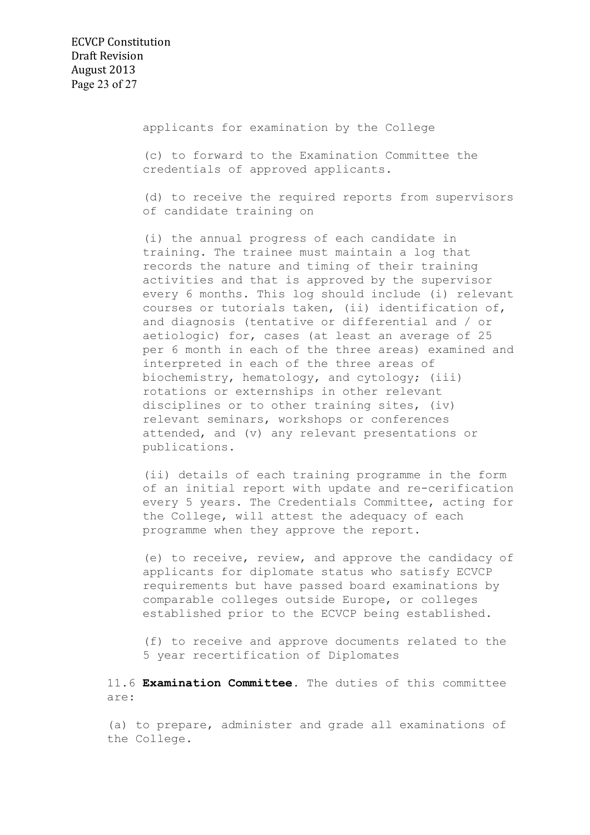applicants for examination by the College

(c) to forward to the Examination Committee the credentials of approved applicants.

(d) to receive the required reports from supervisors of candidate training on

(i) the annual progress of each candidate in training. The trainee must maintain a log that records the nature and timing of their training activities and that is approved by the supervisor every 6 months. This log should include (i) relevant courses or tutorials taken, (ii) identification of, and diagnosis (tentative or differential and / or aetiologic) for, cases (at least an average of 25 per 6 month in each of the three areas) examined and interpreted in each of the three areas of biochemistry, hematology, and cytology; (iii) rotations or externships in other relevant disciplines or to other training sites, (iv) relevant seminars, workshops or conferences attended, and (v) any relevant presentations or publications.

(ii) details of each training programme in the form of an initial report with update and re-cerification every 5 years. The Credentials Committee, acting for the College, will attest the adequacy of each programme when they approve the report.

(e) to receive, review, and approve the candidacy of applicants for diplomate status who satisfy ECVCP requirements but have passed board examinations by comparable colleges outside Europe, or colleges established prior to the ECVCP being established.

 (f) to receive and approve documents related to the 5 year recertification of Diplomates

11.6 **Examination Committee**. The duties of this committee are:

(a) to prepare, administer and grade all examinations of the College.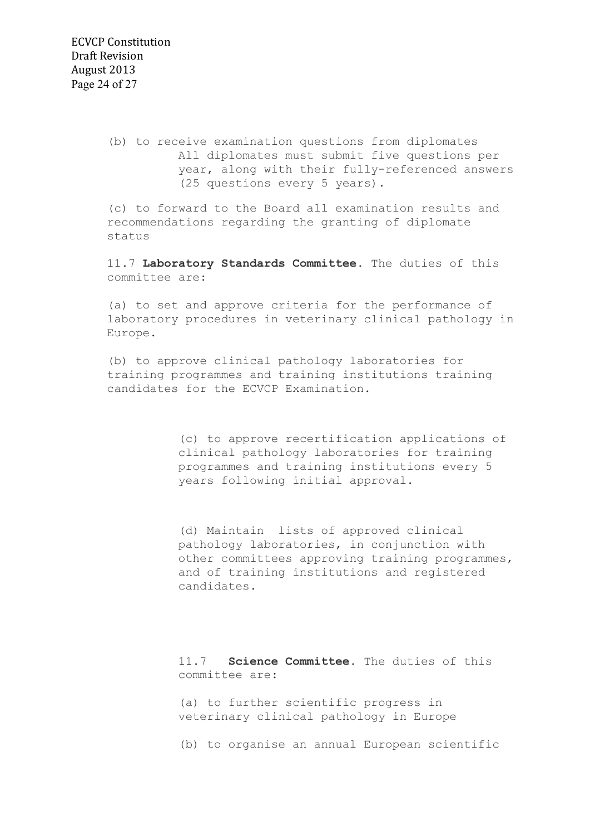(b) to receive examination questions from diplomates All diplomates must submit five questions per year, along with their fully-referenced answers (25 questions every 5 years).

(c) to forward to the Board all examination results and recommendations regarding the granting of diplomate status

11.7 **Laboratory Standards Committee**. The duties of this committee are:

(a) to set and approve criteria for the performance of laboratory procedures in veterinary clinical pathology in Europe.

(b) to approve clinical pathology laboratories for training programmes and training institutions training candidates for the ECVCP Examination.

> (c) to approve recertification applications of clinical pathology laboratories for training programmes and training institutions every 5 years following initial approval.

(d) Maintain lists of approved clinical pathology laboratories, in conjunction with other committees approving training programmes, and of training institutions and registered candidates.

11.7 **Science Committee.** The duties of this committee are:

(a) to further scientific progress in veterinary clinical pathology in Europe

(b) to organise an annual European scientific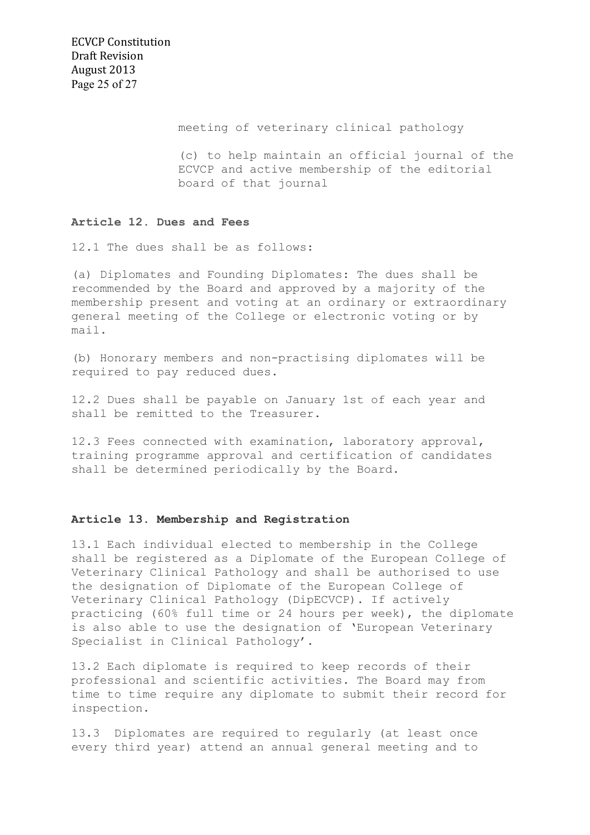ECVCP Constitution Draft Revision August 2013 Page 25 of 27

meeting of veterinary clinical pathology

(c) to help maintain an official journal of the ECVCP and active membership of the editorial board of that journal

#### **Article 12. Dues and Fees**

12.1 The dues shall be as follows:

(a) Diplomates and Founding Diplomates: The dues shall be recommended by the Board and approved by a majority of the membership present and voting at an ordinary or extraordinary general meeting of the College or electronic voting or by mail.

(b) Honorary members and non-practising diplomates will be required to pay reduced dues.

12.2 Dues shall be payable on January 1st of each year and shall be remitted to the Treasurer.

12.3 Fees connected with examination, laboratory approval, training programme approval and certification of candidates shall be determined periodically by the Board.

## **Article 13. Membership and Registration**

13.1 Each individual elected to membership in the College shall be registered as a Diplomate of the European College of Veterinary Clinical Pathology and shall be authorised to use the designation of Diplomate of the European College of Veterinary Clinical Pathology (DipECVCP). If actively practicing (60% full time or 24 hours per week), the diplomate is also able to use the designation of 'European Veterinary Specialist in Clinical Pathology'.

13.2 Each diplomate is required to keep records of their professional and scientific activities. The Board may from time to time require any diplomate to submit their record for inspection.

13.3 Diplomates are required to regularly (at least once every third year) attend an annual general meeting and to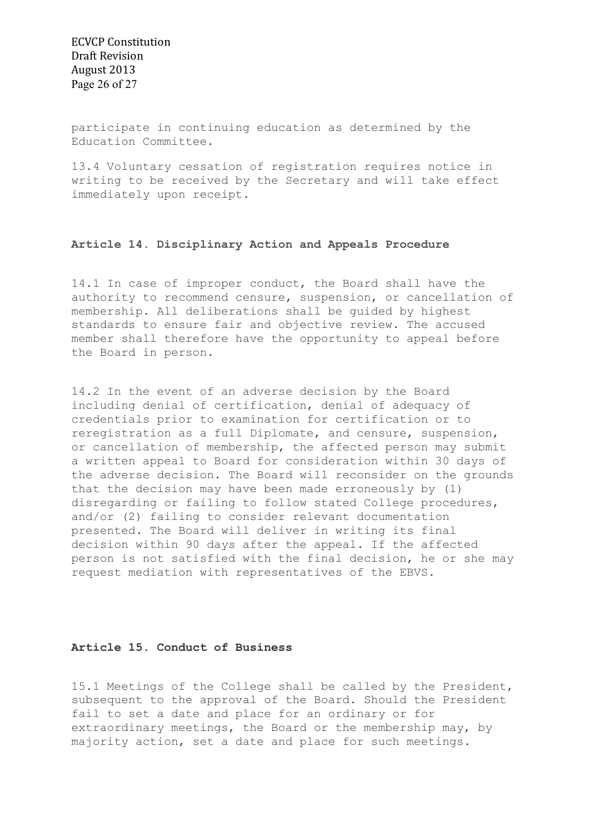ECVCP Constitution Draft Revision August 2013 Page 26 of 27

participate in continuing education as determined by the Education Committee.

13.4 Voluntary cessation of registration requires notice in writing to be received by the Secretary and will take effect immediately upon receipt.

## **Article 14. Disciplinary Action and Appeals Procedure**

14.1 In case of improper conduct, the Board shall have the authority to recommend censure, suspension, or cancellation of membership. All deliberations shall be guided by highest standards to ensure fair and objective review. The accused member shall therefore have the opportunity to appeal before the Board in person.

14.2 In the event of an adverse decision by the Board including denial of certification, denial of adequacy of credentials prior to examination for certification or to reregistration as a full Diplomate, and censure, suspension, or cancellation of membership, the affected person may submit a written appeal to Board for consideration within 30 days of the adverse decision. The Board will reconsider on the grounds that the decision may have been made erroneously by (1) disregarding or failing to follow stated College procedures, and/or (2) failing to consider relevant documentation presented. The Board will deliver in writing its final decision within 90 days after the appeal. If the affected person is not satisfied with the final decision, he or she may request mediation with representatives of the EBVS.

#### **Article 15. Conduct of Business**

15.1 Meetings of the College shall be called by the President, subsequent to the approval of the Board. Should the President fail to set a date and place for an ordinary or for extraordinary meetings, the Board or the membership may, by majority action, set a date and place for such meetings.